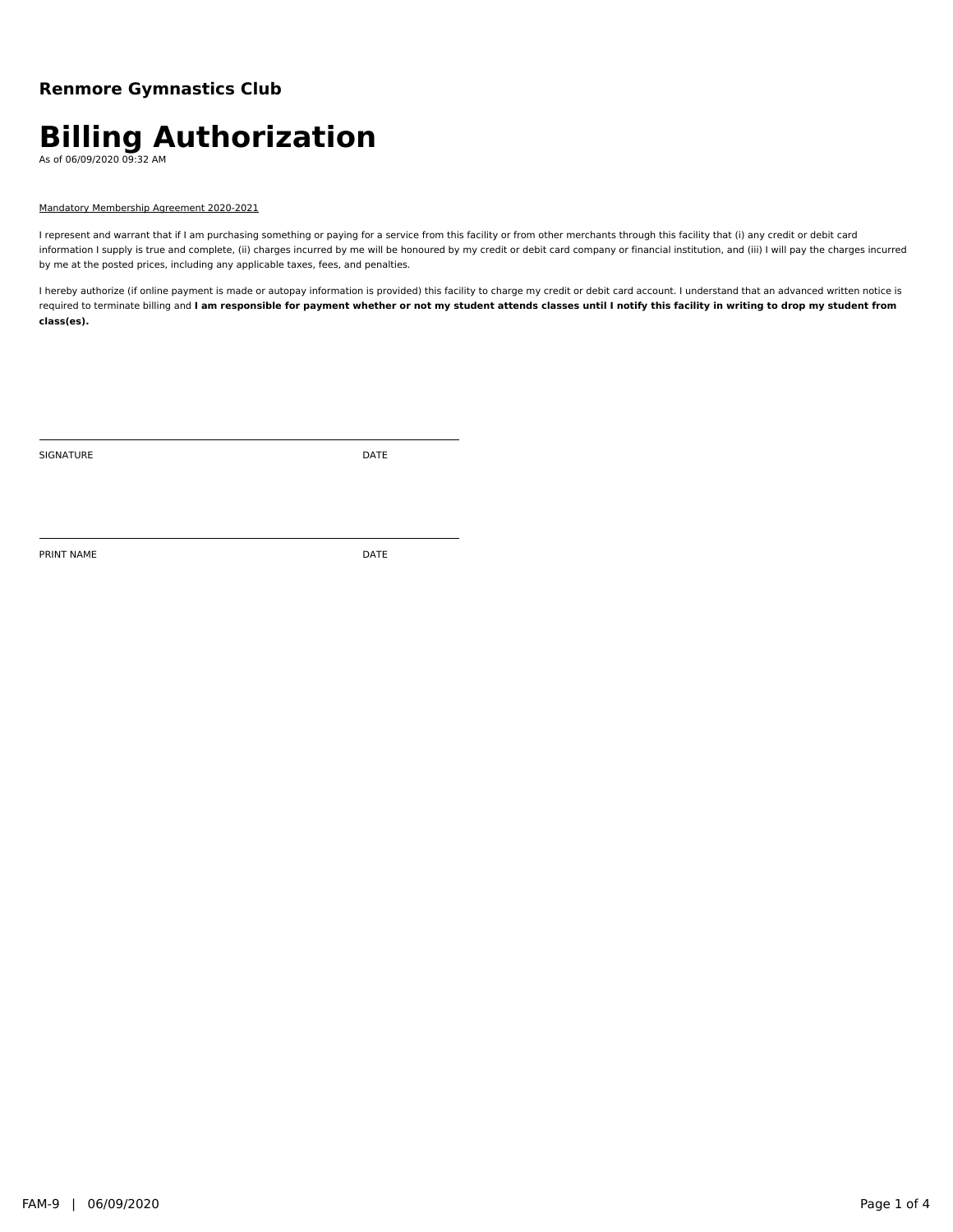## **Renmore Gymnastics Club**

# **Billing Authorization**

As of 06/09/2020 09:32 AM

### Mandatory Membership Agreement 2020-2021

I represent and warrant that if I am purchasing something or paying for a service from this facility or from other merchants through this facility that (i) any credit or debit card information I supply is true and complete, (ii) charges incurred by me will be honoured by my credit or debit card company or financial institution, and (iii) I will pay the charges incurred by me at the posted prices, including any applicable taxes, fees, and penalties.

I hereby authorize (if online payment is made or autopay information is provided) this facility to charge my credit or debit card account. I understand that an advanced written notice is required to terminate billing and I am responsible for payment whether or not my student attends classes until I notify this facility in writing to drop my student from **class(es).**

SIGNATURE DATE

PRINT NAME DATE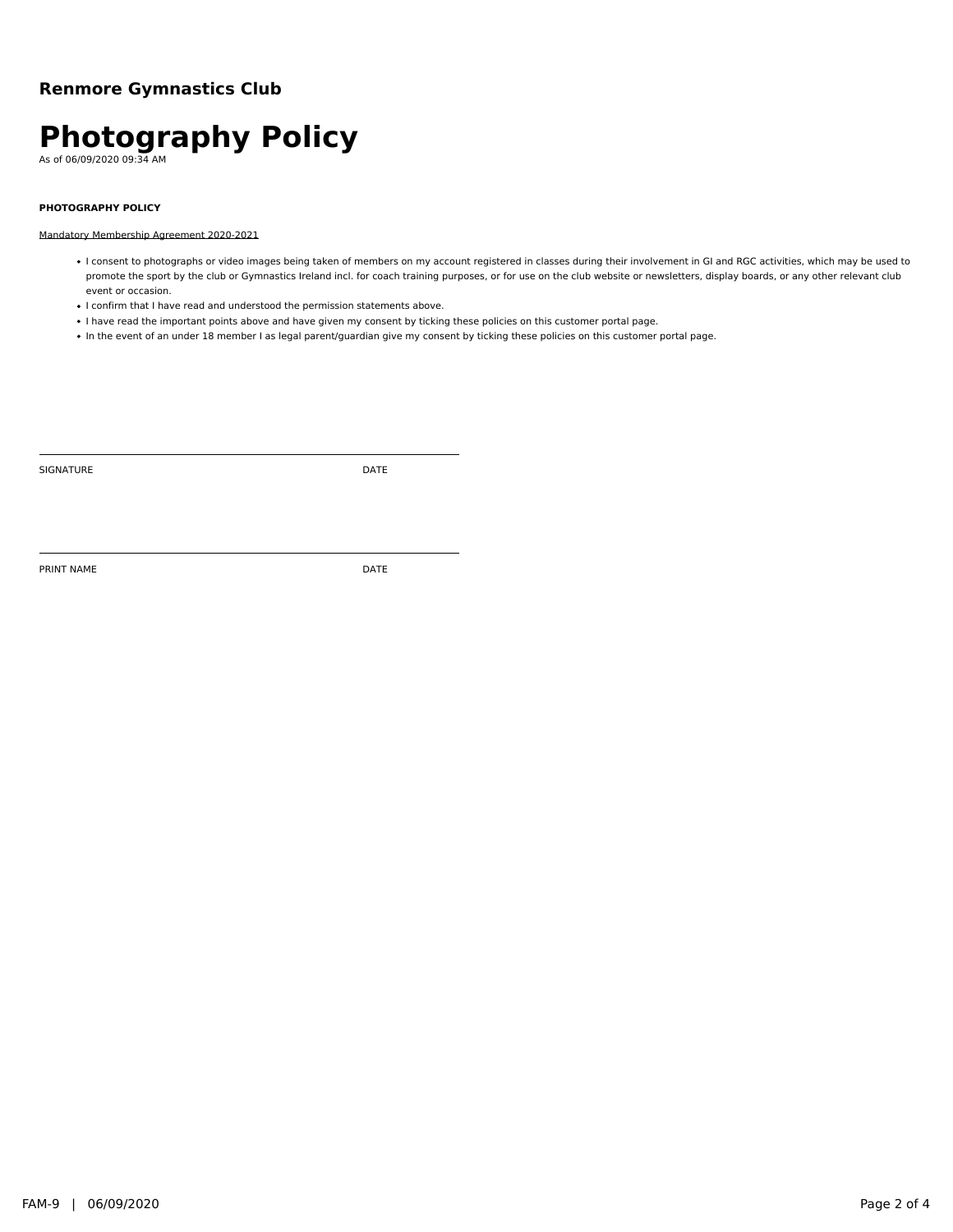## **Renmore Gymnastics Club**

# **Photography Policy** As of 06/09/2020 09:34 AM

### **PHOTOGRAPHY POLICY**

### Mandatory Membership Agreement 2020-2021

- I consent to photographs or video images being taken of members on my account registered in classes during their involvement in GI and RGC activities, which may be used to promote the sport by the club or Gymnastics Ireland incl. for coach training purposes, or for use on the club website or newsletters, display boards, or any other relevant club event or occasion.
- I confirm that I have read and understood the permission statements above.
- . I have read the important points above and have given my consent by ticking these policies on this customer portal page.
- In the event of an under 18 member I as legal parent/guardian give my consent by ticking these policies on this customer portal page.

| <b>SIGNATURE</b> | <b>DATE</b> |
|------------------|-------------|
|                  |             |

PRINT NAME DATE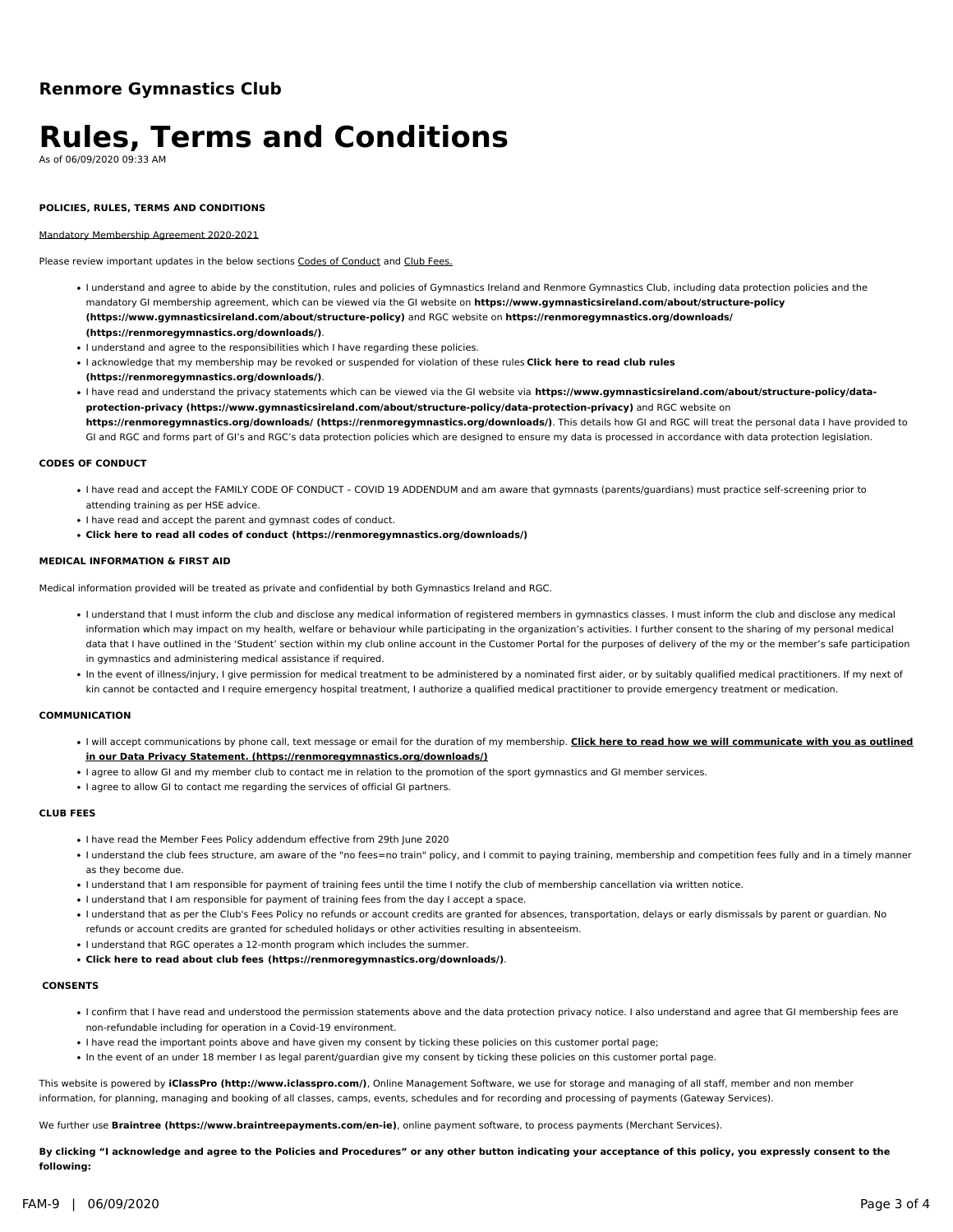### **Renmore Gymnastics Club**

# **Rules, Terms and Conditions**

As of 06/09/2020 09:33 AM

### **POLICIES, RULES, TERMS AND CONDITIONS**

### Mandatory Membership Agreement 2020-2021

Please review important updates in the below sections Codes of Conduct and Club Fees.

- I understand and agree to abide by the constitution, rules and policies of Gymnastics Ireland and Renmore Gymnastics Club, including data protection policies and the mandatory GI membership agreement, which can be viewed via the GI website on **https://www.gymnasticsireland.com/about/structure-policy [\(https://www.gymnasticsireland.com/about/structure-policy\)](https://www.gymnasticsireland.com/about/structure-policy)** and RGC website on **https://renmoregymnastics.org/downloads/ (https://renmoregymnastics.org/downloads/)**.
- I understand and agree to the responsibilities which I have regarding these policies.
- I acknowledge that my membership may be revoked or suspended for violation of these rules **Click here to read club rules [\(https://renmoregymnastics.org/downloads/\)](https://renmoregymnastics.org/downloads/)**.
- I have read and understand the privacy statements which can be viewed via the GI website via **https://www.gymnasticsireland.com/about/structure-policy/data protection-privacy [\(https://www.gymnasticsireland.com/about/structure-policy/data-protection-privacy\)](https://www.gymnasticsireland.com/about/structure-policy/data-protection-privacy)** and RGC website on **https://renmoregymnastics.org/downloads/ [\(https://renmoregymnastics.org/downloads/\)](https://renmoregymnastics.org/downloads/)**. This details how GI and RGC will treat the personal data I have provided to GI and RGC and forms part of GI's and RGC's data protection policies which are designed to ensure my data is processed in accordance with data protection legislation.

### **CODES OF CONDUCT**

- I have read and accept the FAMILY CODE OF CONDUCT COVID 19 ADDENDUM and am aware that gymnasts (parents/guardians) must practice self-screening prior to attending training as per HSE advice.
- I have read and accept the parent and gymnast codes of conduct.
- **Click here to read all codes of conduct [\(https://renmoregymnastics.org/downloads/\)](https://renmoregymnastics.org/downloads/)**

### **MEDICAL INFORMATION & FIRST AID**

Medical information provided will be treated as private and confidential by both Gymnastics Ireland and RGC.

- I understand that I must inform the club and disclose any medical information of registered members in gymnastics classes. I must inform the club and disclose any medical information which may impact on my health, welfare or behaviour while participating in the organization's activities. I further consent to the sharing of my personal medical data that I have outlined in the 'Student' section within my club online account in the Customer Portal for the purposes of delivery of the my or the member's safe participation in gymnastics and administering medical assistance if required.
- In the event of illness/injury, I give permission for medical treatment to be administered by a nominated first aider, or by suitably qualified medical practitioners. If my next of kin cannot be contacted and I require emergency hospital treatment, I authorize a qualified medical practitioner to provide emergency treatment or medication.

### **COMMUNICATION**

- . I will accept communications by phone call, text message or email for the duration of my membership. Click here to read how we will communicate with you as outlined **in our Data Privacy Statement. [\(https://renmoregymnastics.org/downloads/\)](https://renmoregymnastics.org/downloads/)**
- I agree to allow GI and my member club to contact me in relation to the promotion of the sport gymnastics and GI member services.
- I agree to allow GI to contact me regarding the services of official GI partners.

#### **CLUB FEES**

- I have read the Member Fees Policy addendum effective from 29th June 2020
- I understand the club fees structure, am aware of the "no fees=no train" policy, and I commit to paying training, membership and competition fees fully and in a timely manner as they become due.
- I understand that I am responsible for payment of training fees until the time I notify the club of membership cancellation via written notice.
- I understand that I am responsible for payment of training fees from the day I accept a space.
- I understand that as per the Club's Fees Policy no refunds or account credits are granted for absences, transportation, delays or early dismissals by parent or guardian. No
- refunds or account credits are granted for scheduled holidays or other activities resulting in absenteeism.
- I understand that RGC operates a 12-month program which includes the summer.
- **Click here to read about club fees [\(https://renmoregymnastics.org/downloads/\)](https://renmoregymnastics.org/downloads/)**.

#### **CONSENTS**

- I confirm that I have read and understood the permission statements above and the data protection privacy notice. I also understand and agree that GI membership fees are non-refundable including for operation in a Covid-19 environment.
- I have read the important points above and have given my consent by ticking these policies on this customer portal page;
- In the event of an under 18 member I as legal parent/guardian give my consent by ticking these policies on this customer portal page.

This website is powered by **iClassPro [\(http://www.iclasspro.com/\)](http://www.iclasspro.com/)**, Online Management Software, we use for storage and managing of all staff, member and non member information, for planning, managing and booking of all classes, camps, events, schedules and for recording and processing of payments (Gateway Services).

We further use **Braintree [\(https://www.braintreepayments.com/en-ie\)](https://www.braintreepayments.com/en-ie)**, online payment software, to process payments (Merchant Services).

By clicking "I acknowledge and agree to the Policies and Procedures" or any other button indicating your acceptance of this policy, you expressly consent to the **following:**